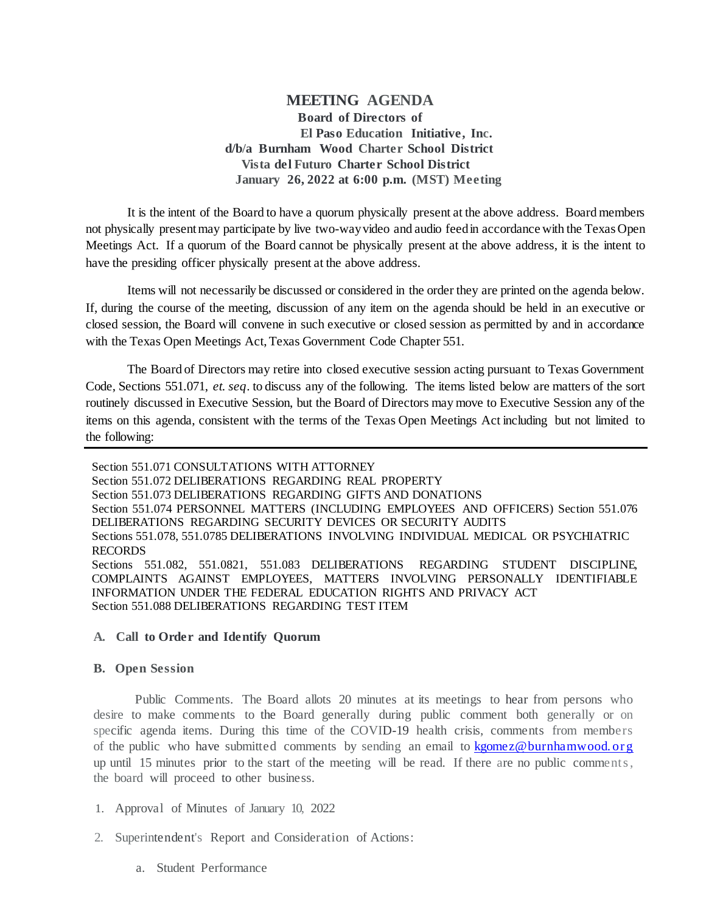**MEETING AGENDA Board of Directors of El Paso Education Initiative, Inc. d/b/a Burnham Wood Charter School District Vista del Futuro Charter School District January 26, 2022 at 6:00 p.m. (MST) Meeting**

It is the intent of the Board to have a quorum physically present at the above address. Board members not physically present may participate by live two-way video and audio feed in accordance with the Texas Open Meetings Act. If a quorum of the Board cannot be physically present at the above address, it is the intent to have the presiding officer physically present at the above address.

Items will not necessarily be discussed or considered in the order they are printed on the agenda below. If, during the course of the meeting, discussion of any item on the agenda should be held in an executive or closed session, the Board will convene in such executive or closed session as permitted by and in accordance with the Texas Open Meetings Act, Texas Government Code Chapter 551.

The Board of Directors may retire into closed executive session acting pursuant to Texas Government Code, Sections 551.071, *et. seq*. to discuss any of the following. The items listed below are matters of the sort routinely discussed in Executive Session, but the Board of Directors may move to Executive Session any of the items on this agenda, consistent with the terms of the Texas Open Meetings Act including but not limited to the following:

Section 551.071 CONSULTATIONS WITH ATTORNEY Section 551.072 DELIBERATIONS REGARDING REAL PROPERTY Section 551.073 DELIBERATIONS REGARDING GIFTS AND DONATIONS Section 551.074 PERSONNEL MATTERS (INCLUDING EMPLOYEES AND OFFICERS) Section 551.076 DELIBERATIONS REGARDING SECURITY DEVICES OR SECURITY AUDITS Sections 551.078, 551.0785 DELIBERATIONS INVOLVING INDIVIDUAL MEDICAL OR PSYCHIATRIC RECORDS Sections 551.082, 551.0821, 551.083 DELIBERATIONS REGARDING STUDENT DISCIPLINE, COMPLAINTS AGAINST EMPLOYEES, MATTERS INVOLVING PERSONALLY IDENTIFIABLE INFORMATION UNDER THE FEDERAL EDUCATION RIGHTS AND PRIVACY ACT Section 551.088 DELIBERATIONS REGARDING TEST ITEM

## **A. Call to Order and Identify Quorum**

## **B. Open Session**

Public Comments. The Board allots 20 minutes at its meetings to hear from persons who desire to make comments to the Board generally during public comment both generally or on specific agenda items. During this time of the COVID-19 health crisis, comments from members of the public who have submitted comments by sending an email to [kgomez@burnhamwood. or g](mailto:kgomez@burnhamwood.org) up until 15 minutes prior to the start of the meeting will be read. If there are no public comments , the board will proceed to other business.

- 1. Approval of Minutes of January 10, 2022
- 2. Superintendent's Report and Consideration of Actions:
	- a. Student Performance